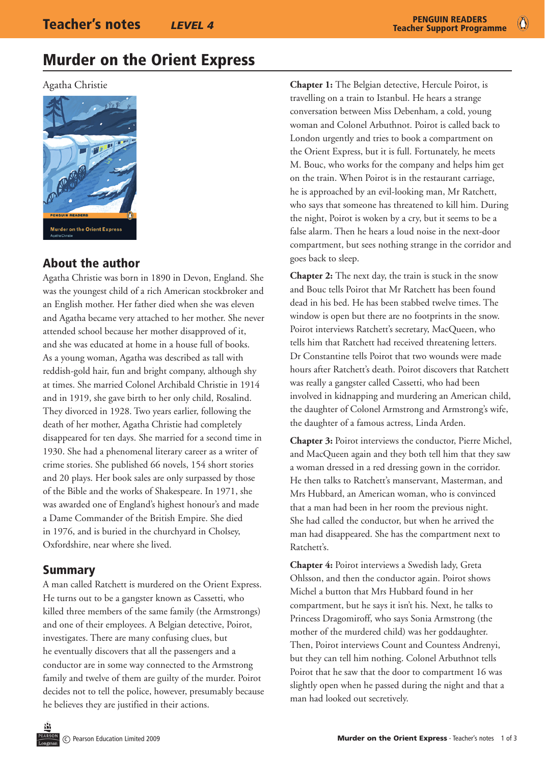# Murder on the Orient Express

Agatha Christie



## About the author

Agatha Christie was born in 1890 in Devon, England. She was the youngest child of a rich American stockbroker and an English mother. Her father died when she was eleven and Agatha became very attached to her mother. She never attended school because her mother disapproved of it, and she was educated at home in a house full of books. As a young woman, Agatha was described as tall with reddish-gold hair, fun and bright company, although shy at times. She married Colonel Archibald Christie in 1914 and in 1919, she gave birth to her only child, Rosalind. They divorced in 1928. Two years earlier, following the death of her mother, Agatha Christie had completely disappeared for ten days. She married for a second time in 1930. She had a phenomenal literary career as a writer of crime stories. She published 66 novels, 154 short stories and 20 plays. Her book sales are only surpassed by those of the Bible and the works of Shakespeare. In 1971, she was awarded one of England's highest honour's and made a Dame Commander of the British Empire. She died in 1976, and is buried in the churchyard in Cholsey, Oxfordshire, near where she lived.

## Summary

A man called Ratchett is murdered on the Orient Express. He turns out to be a gangster known as Cassetti, who killed three members of the same family (the Armstrongs) and one of their employees. A Belgian detective, Poirot, investigates. There are many confusing clues, but he eventually discovers that all the passengers and a conductor are in some way connected to the Armstrong family and twelve of them are guilty of the murder. Poirot decides not to tell the police, however, presumably because he believes they are justified in their actions.

**Chapter 1:** The Belgian detective, Hercule Poirot, is travelling on a train to Istanbul. He hears a strange conversation between Miss Debenham, a cold, young woman and Colonel Arbuthnot. Poirot is called back to London urgently and tries to book a compartment on the Orient Express, but it is full. Fortunately, he meets M. Bouc, who works for the company and helps him get on the train. When Poirot is in the restaurant carriage, he is approached by an evil-looking man, Mr Ratchett, who says that someone has threatened to kill him. During the night, Poirot is woken by a cry, but it seems to be a false alarm. Then he hears a loud noise in the next-door compartment, but sees nothing strange in the corridor and goes back to sleep.

**Chapter 2:** The next day, the train is stuck in the snow and Bouc tells Poirot that Mr Ratchett has been found dead in his bed. He has been stabbed twelve times. The window is open but there are no footprints in the snow. Poirot interviews Ratchett's secretary, MacQueen, who tells him that Ratchett had received threatening letters. Dr Constantine tells Poirot that two wounds were made hours after Ratchett's death. Poirot discovers that Ratchett was really a gangster called Cassetti, who had been involved in kidnapping and murdering an American child, the daughter of Colonel Armstrong and Armstrong's wife, the daughter of a famous actress, Linda Arden.

**Chapter 3:** Poirot interviews the conductor, Pierre Michel, and MacQueen again and they both tell him that they saw a woman dressed in a red dressing gown in the corridor. He then talks to Ratchett's manservant, Masterman, and Mrs Hubbard, an American woman, who is convinced that a man had been in her room the previous night. She had called the conductor, but when he arrived the man had disappeared. She has the compartment next to Ratchett's.

**Chapter 4:** Poirot interviews a Swedish lady, Greta Ohlsson, and then the conductor again. Poirot shows Michel a button that Mrs Hubbard found in her compartment, but he says it isn't his. Next, he talks to Princess Dragomiroff, who says Sonia Armstrong (the mother of the murdered child) was her goddaughter. Then, Poirot interviews Count and Countess Andrenyi, but they can tell him nothing. Colonel Arbuthnot tells Poirot that he saw that the door to compartment 16 was slightly open when he passed during the night and that a man had looked out secretively.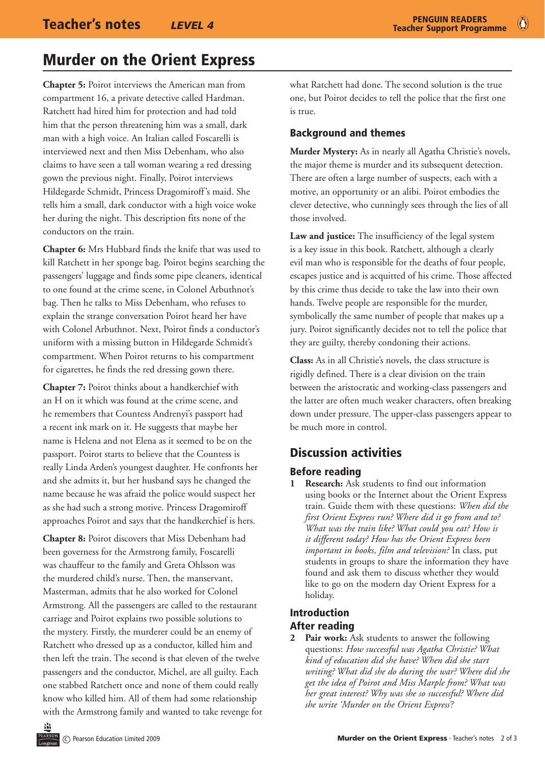$\bullet$ 

# Murder on the Orient Express

**Chapter 5:** Poirot interviews the American man from compartment 16, a private detective called Hardman. Ratchett had hired him for protection and had told him that the person threatening him was a small, dark man with a high voice. An Italian called Foscarelli is interviewed next and then Miss Debenham, who also claims to have seen a tall woman wearing a red dressing gown the previous night. Finally, Poirot interviews Hildegarde Schmidt, Princess Dragomiroff's maid. She tells him a small, dark conductor with a high voice woke her during the night. This description fits none of the conductors on the train.

**Chapter 6:** Mrs Hubbard finds the knife that was used to kill Ratchett in her sponge bag. Poirot begins searching the passengers' luggage and finds some pipe cleaners, identical to one found at the crime scene, in Colonel Arbuthnot's bag. Then he talks to Miss Debenham, who refuses to explain the strange conversation Poirot heard her have with Colonel Arbuthnot. Next, Poirot finds a conductor's uniform with a missing button in Hildegarde Schmidt's compartment. When Poirot returns to his compartment for cigarettes, he finds the red dressing gown there.

**Chapter 7:** Poirot thinks about a handkerchief with an H on it which was found at the crime scene, and he remembers that Countess Andrenyi's passport had a recent ink mark on it. He suggests that maybe her name is Helena and not Elena as it seemed to be on the passport. Poirot starts to believe that the Countess is really Linda Arden's youngest daughter. He confronts her and she admits it, but her husband says he changed the name because he was afraid the police would suspect her as she had such a strong motive. Princess Dragomiroff approaches Poirot and says that the handkerchief is hers.

**Chapter 8:** Poirot discovers that Miss Debenham had been governess for the Armstrong family, Foscarelli was chauffeur to the family and Greta Ohlsson was the murdered child's nurse. Then, the manservant, Masterman, admits that he also worked for Colonel Armstrong. All the passengers are called to the restaurant carriage and Poirot explains two possible solutions to the mystery. Firstly, the murderer could be an enemy of Ratchett who dressed up as a conductor, killed him and then left the train. The second is that eleven of the twelve passengers and the conductor, Michel, are all guilty. Each one stabbed Ratchett once and none of them could really know who killed him. All of them had some relationship with the Armstrong family and wanted to take revenge for what Ratchett had done. The second solution is the true one, but Poirot decides to tell the police that the first one is true.

## Background and themes

**Murder Mystery:** As in nearly all Agatha Christie's novels, the major theme is murder and its subsequent detection. There are often a large number of suspects, each with a motive, an opportunity or an alibi. Poirot embodies the clever detective, who cunningly sees through the lies of all those involved.

**Law and justice:** The insufficiency of the legal system is a key issue in this book. Ratchett, although a clearly evil man who is responsible for the deaths of four people, escapes justice and is acquitted of his crime. Those affected by this crime thus decide to take the law into their own hands. Twelve people are responsible for the murder, symbolically the same number of people that makes up a jury. Poirot significantly decides not to tell the police that they are guilty, thereby condoning their actions.

**Class:** As in all Christie's novels, the class structure is rigidly defined. There is a clear division on the train between the aristocratic and working-class passengers and the latter are often much weaker characters, often breaking down under pressure. The upper-class passengers appear to be much more in control.

## Discussion activities

## Before reading

**1 Research:** Ask students to find out information using books or the Internet about the Orient Express train. Guide them with these questions: *When did the first Orient Express run? Where did it go from and to? What was the train like? What could you eat? How is it different today? How has the Orient Express been important in books, film and television?* In class, put students in groups to share the information they have found and ask them to discuss whether they would like to go on the modern day Orient Express for a holiday.

## Introduction After reading

**2 Pair work:** Ask students to answer the following questions: *How successful was Agatha Christie? What kind of education did she have? When did she start writing? What did she do during the war? Where did she get the idea of Poirot and Miss Marple from? What was her great interest? Why was she so successful? Where did she write 'Murder on the Orient Express'?*